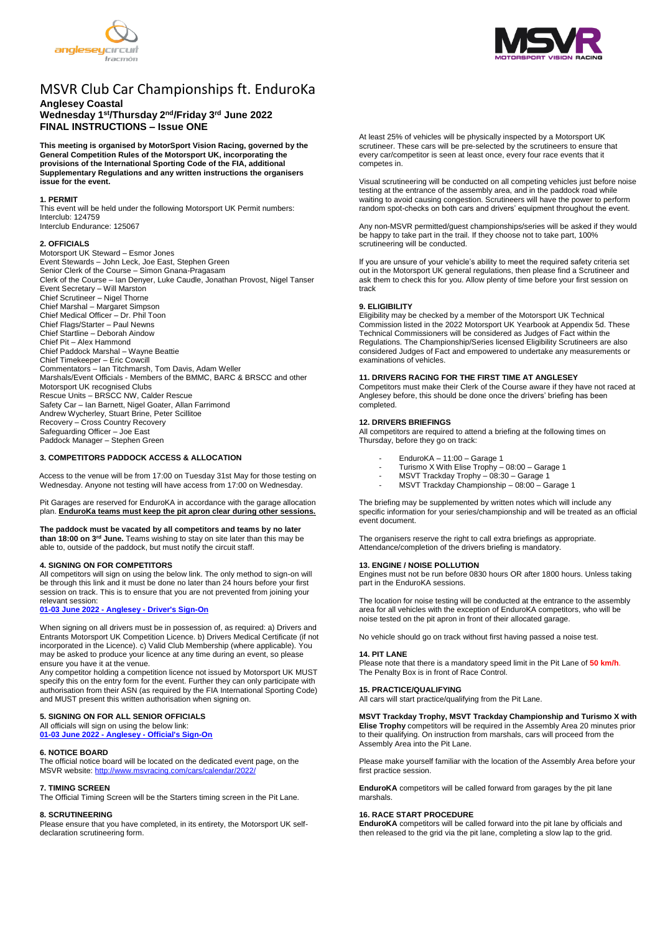



# MSVR Club Car Championships ft. EnduroKa

# **Anglesey Coastal Wednesday 1 st/Thursday 2nd/Friday 3 rd June 2022 FINAL INSTRUCTIONS – Issue ONE**

**This meeting is organised by MotorSport Vision Racing, governed by the General Competition Rules of the Motorsport UK, incorporating the provisions of the International Sporting Code of the FIA, additional Supplementary Regulations and any written instructions the organisers issue for the event.**

## **1. PERMIT**

This event will be held under the following Motorsport UK Permit numbers: Interclub: 124759 Interclub Endurance: 125067

#### **2. OFFICIALS**

Motorsport UK Steward – Esmor Jones Event Stewards – John Leck, Joe East, Stephen Green Senior Clerk of the Course – Simon Gnana-Pragasam Clerk of the Course – Ian Denyer, Luke Caudle, Jonathan Provost, Nigel Tanser Event Secretary – Will Marston Chief Scrutineer – Nigel Thorne Chief Marshal – Margaret Simpson Chief Medical Officer – Dr. Phil Toon Chief Flags/Starter – Paul Newns Chief Startline – Deborah Aindow Chief Pit – Alex Hammond Chief Paddock Marshal – Wayne Beattie Chief Timekeeper – Eric Cowcill Commentators – Ian Titchmarsh, Tom Davis, Adam Weller Marshals/Event Officials - Members of the BMMC, BARC & BRSCC and other Motorsport UK recognised Clubs Rescue Units – BRSCC NW, Calder Rescue Safety Car – Ian Barnett, Nigel Goater, Allan Farrimond Andrew Wycherley, Stuart Brine, Peter Scillitoe Recovery – Cross Country Recovery Safeguarding Officer – Joe East Paddock Manager – Stephen Green

# **3. COMPETITORS PADDOCK ACCESS & ALLOCATION**

Access to the venue will be from 17:00 on Tuesday 31st May for those testing on Wednesday. Anyone not testing will have access from 17:00 on Wednesday.

Pit Garages are reserved for EnduroKA in accordance with the garage allocation plan. **EnduroKa teams must keep the pit apron clear during other sessions.**

**The paddock must be vacated by all competitors and teams by no later than 18:00 on 3 rd June.** Teams wishing to stay on site later than this may be able to, outside of the paddock, but must notify the circuit staff.

## **4. SIGNING ON FOR COMPETITORS**

All competitors will sign on using the below link. The only method to sign-on will be through this link and it must be done no later than 24 hours before your first session on track. This is to ensure that you are not prevented from joining your relevant session:

#### **01-03 June 2022 - Anglesey - [Driver's Sign-On](https://racing.msv.com/CheckIn/475efa68-904b-465a-be96-0ce50fc8bb70)**

When signing on all drivers must be in possession of, as required: a) Drivers and Entrants Motorsport UK Competition Licence. b) Drivers Medical Certificate (if not incorporated in the Licence). c) Valid Club Membership (where applicable). You may be asked to produce your licence at any time during an event, so please ensure you have it at the venue.

Any competitor holding a competition licence not issued by Motorsport UK MUST specify this on the entry form for the event. Further they can only participate with authorisation from their ASN (as required by the FIA International Sporting Code) and MUST present this written authorisation when signing on.

#### **5. SIGNING ON FOR ALL SENIOR OFFICIALS**

All officials will sign on using the below link: **01-03 June 2022 - Anglesey - [Official's Sign-On](https://racing.msv.com/CheckIn/Officals/475efa68-904b-465a-be96-0ce50fc8bb70)**

## **6. NOTICE BOARD**

The official notice board will be located on the dedicated event page, on the MSVR website:<http://www.msvracing.com/cars/calendar/2022/>

## **7. TIMING SCREEN**

The Official Timing Screen will be the Starters timing screen in the Pit Lane.

## **8. SCRUTINEERING**

Please ensure that you have completed, in its entirety, the Motorsport UK selfdeclaration scrutineering form.

At least 25% of vehicles will be physically inspected by a Motorsport UK scrutineer. These cars will be pre-selected by the scrutineers to ensure that every car/competitor is seen at least once, every four race events that it competes in.

Visual scrutineering will be conducted on all competing vehicles just before noise testing at the entrance of the assembly area, and in the paddock road while waiting to avoid causing congestion. Scrutineers will have the power to perform random spot-checks on both cars and drivers' equipment throughout the event.

Any non-MSVR permitted/guest championships/series will be asked if they would be happy to take part in the trail. If they choose not to take part, 100% scrutineering will be conducted.

If you are unsure of your vehicle's ability to meet the required safety criteria set out in the Motorsport UK general regulations, then please find a Scrutineer and ask them to check this for you. Allow plenty of time before your first session on track

#### **9. ELIGIBILITY**

Eligibility may be checked by a member of the Motorsport UK Technical Commission listed in the 2022 Motorsport UK Yearbook at Appendix 5d. These Technical Commissioners will be considered as Judges of Fact within the Regulations. The Championship/Series licensed Eligibility Scrutineers are also considered Judges of Fact and empowered to undertake any measurements or examinations of vehicles.

# **11. DRIVERS RACING FOR THE FIRST TIME AT ANGLESEY**

Competitors must make their Clerk of the Course aware if they have not raced at Anglesey before, this should be done once the drivers' briefing has been completed.

## **12. DRIVERS BRIEFINGS**

All competitors are required to attend a briefing at the following times on Thursday, before they go on track:

- EnduroKA 11:00 Garage 1
- Turismo X With Elise Trophy 08:00 Garage 1
- MSVT Trackday Trophy 08:30 Garage 1
- MSVT Trackday Championship 08:00 Garage 1

The briefing may be supplemented by written notes which will include any specific information for your series/championship and will be treated as an official event document.

The organisers reserve the right to call extra briefings as appropriate. Attendance/completion of the drivers briefing is mandatory.

## **13. ENGINE / NOISE POLLUTION**

Engines must not be run before 0830 hours OR after 1800 hours. Unless taking part in the EnduroKA sessions.

The location for noise testing will be conducted at the entrance to the assembly area for all vehicles with the exception of EnduroKA competitors, who will be noise tested on the pit apron in front of their allocated garage.

No vehicle should go on track without first having passed a noise test.

#### **14. PIT LANE**

Please note that there is a mandatory speed limit in the Pit Lane of **50 km/h**. The Penalty Box is in front of Race Control.

#### **15. PRACTICE/QUALIFYING**

All cars will start practice/qualifying from the Pit Lane.

**MSVT Trackday Trophy, MSVT Trackday Championship and Turismo X with Elise Trophy** competitors will be required in the Assembly Area 20 minutes prior to their qualifying. On instruction from marshals, cars will proceed from the Assembly Area into the Pit Lane.

Please make yourself familiar with the location of the Assembly Area before your first practice session.

**EnduroKA** competitors will be called forward from garages by the pit lane marshals.

#### **16. RACE START PROCEDURE**

**EnduroKA** competitors will be called forward into the pit lane by officials and then released to the grid via the pit lane, completing a slow lap to the grid.